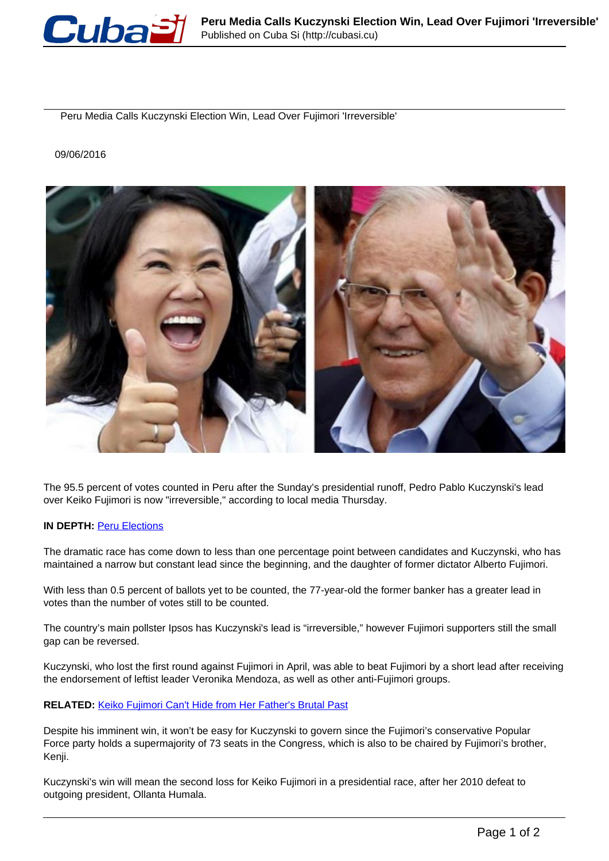

Peru Media Calls Kuczynski Election Win, Lead Over Fujimori 'Irreversible'

## 09/06/2016



The 95.5 percent of votes counted in Peru after the Sunday's presidential runoff, Pedro Pablo Kuczynski's lead over Keiko Fujimori is now "irreversible," according to local media Thursday.

## **IN DEPTH: [Peru Elections](http://www.telesurtv.net/english/news/Perus-Elections--20160408-0056.html)**

The dramatic race has come down to less than one percentage point between candidates and Kuczynski, who has maintained a narrow but constant lead since the beginning, and the daughter of former dictator Alberto Fujimori.

With less than 0.5 percent of ballots yet to be counted, the 77-year-old the former banker has a greater lead in votes than the number of votes still to be counted.

The country's main pollster Ipsos has Kuczynski's lead is "irreversible," however Fujimori supporters still the small gap can be reversed.

Kuczynski, who lost the first round against Fujimori in April, was able to beat Fujimori by a short lead after receiving the endorsement of leftist leader Veronika Mendoza, as well as other anti-Fujimori groups.

## **RELATED:** Keiko Fujimori Can't Hide from Her Father's Brutal Past

Despite his imminent win, it won't be easy for Kuczynski to govern since the Fujimori's conservative Popular Force party holds a supermajority of 73 seats in the Congress, which is also to be chaired by Fujimori's brother, Kenii.

Kuczynski's win will mean the second loss for Keiko Fujimori in a presidential race, after her 2010 defeat to outgoing president, Ollanta Humala.